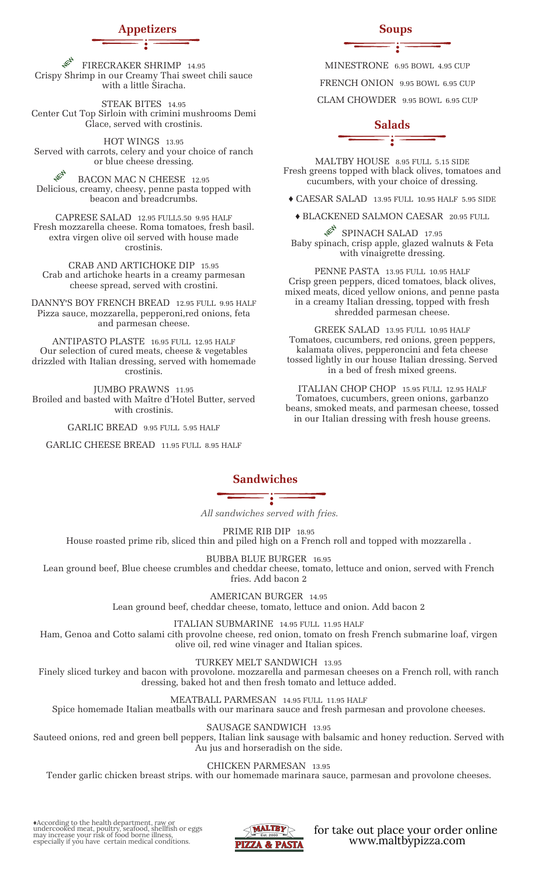# **Appetizers Soups**

**HEA** FIRECRAKER SHRIMP 14.95 Crispy Shrimp in our Creamy Thai sweet chili sauce with a little Siracha.

STEAK BITES 14.95 Center Cut Top Sirloin with crimini mushrooms Demi Glace, served with crostinis.

HOT WINGS 13.95 Served with carrots, celery and your choice of ranch or blue cheese dressing.

**HEAL** BACON MAC N CHEESE 12.95 Delicious, creamy, cheesy, penne pasta topped with beacon and breadcrumbs.

CAPRESE SALAD 12.95 FULL5.50 9.95 HALF Fresh mozzarella cheese. Roma tomatoes, fresh basil. extra virgen olive oil served with house made crostinis.

CRAB AND ARTICHOKE DIP 15.95 Crab and artichoke hearts in a creamy parmesan cheese spread, served with crostini.

DANNY'S BOY FRENCH BREAD 12.95 FULL 9.95 HALF Pizza sauce, mozzarella, pepperoni,red onions, feta and parmesan cheese.

ANTIPASTO PLASTE 16.95 FULL 12.95 HALF Our selection of cured meats, cheese & vegetables drizzled with Italian dressing, served with homemade crostinis.

JUMBO PRAWNS 11.95 Broiled and basted with Maître d'Hotel Butter, served with crostinis.

GARLIC BREAD 9.95 FULL 5.95 HALF

GARLIC CHEESE BREAD 11.95 FULL 8.95 HALF

MINESTRONE 6.95 BOWL 4.95 CUP

FRENCH ONION 9.95 BOWL 6.95 CUP

CLAM CHOWDER 9.95 BOWL 6.95 CUP

### **Salads** Ï

MALTBY HOUSE 8.95 FULL 5.15 SIDE Fresh greens topped with black olives, tomatoes and cucumbers, with your choice of dressing.

♦ CAESAR SALAD 13.95 FULL 10.95 HALF 5.95 SIDE

♦ BLACKENED SALMON CAESAR 20.95 FULL ACA SPINACH SALAD 17.95

Baby spinach, crisp apple, glazed walnuts & Feta with vinaigrette dressing.

PENNE PASTA 13.95 FULL 10.95 HALF Crisp green peppers, diced tomatoes, black olives, mixed meats, diced yellow onions, and penne pasta in a creamy Italian dressing, topped with fresh shredded parmesan cheese.

GREEK SALAD 13.95 FULL 10.95 HALF Tomatoes, cucumbers, red onions, green peppers, kalamata olives, pepperoncini and feta cheese tossed lightly in our house Italian dressing. Served in a bed of fresh mixed greens.

ITALIAN CHOP CHOP 15.95 FULL 12.95 HALF Tomatoes, cucumbers, green onions, garbanzo beans, smoked meats, and parmesan cheese, tossed in our Italian dressing with fresh house greens.

**Sandwiches**

*All sandwiches served with fries.*

PRIME RIB DIP 18.95

House roasted prime rib, sliced thin and piled high on a French roll and topped with mozzarella .

BUBBA BLUE BURGER 16.95

Lean ground beef, Blue cheese crumbles and cheddar cheese, tomato, lettuce and onion, served with French fries. Add bacon 2

AMERICAN BURGER 14.95

Lean ground beef, cheddar cheese, tomato, lettuce and onion. Add bacon 2

ITALIAN SUBMARINE 14.95 FULL 11.95 HALF

Ham, Genoa and Cotto salami cith provolne cheese, red onion, tomato on fresh French submarine loaf, virgen olive oil, red wine vinager and Italian spices.

TURKEY MELT SANDWICH 13.95

Finely sliced turkey and bacon with provolone. mozzarella and parmesan cheeses on a French roll, with ranch dressing, baked hot and then fresh tomato and lettuce added.

MEATBALL PARMESAN 14.95 FULL 11.95 HALF

Spice homemade Italian meatballs with our marinara sauce and fresh parmesan and provolone cheeses.

SAUSAGE SANDWICH 13.95

Sauteed onions, red and green bell peppers, Italian link sausage with balsamic and honey reduction. Served with Au jus and horseradish on the side.

CHICKEN PARMESAN 13.95

Tender garlic chicken breast strips. with our homemade marinara sauce, parmesan and provolone cheeses.

♦According to the health department, raw or undercooked meat, poultry, seafood, shellfish or eggs may increase your risk of food borne illness, especially if you have certain medical conditions.



for take out place your order online www.maltbypizza.com